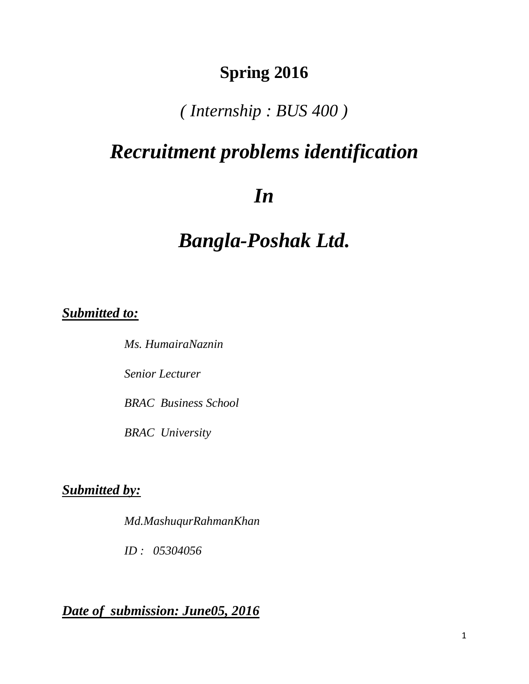# **Spring 2016**

## *( Internship : BUS 400 )*

# *Recruitment problems identification*

# *In*

# *Bangla-Poshak Ltd.*

## *Submitted to:*

 *Ms. HumairaNaznin Senior Lecturer BRAC Business School BRAC University*

## *Submitted by:*

*Md.MashuqurRahmanKhan* 

 *ID : 05304056* 

*Date of submission: June05, 2016*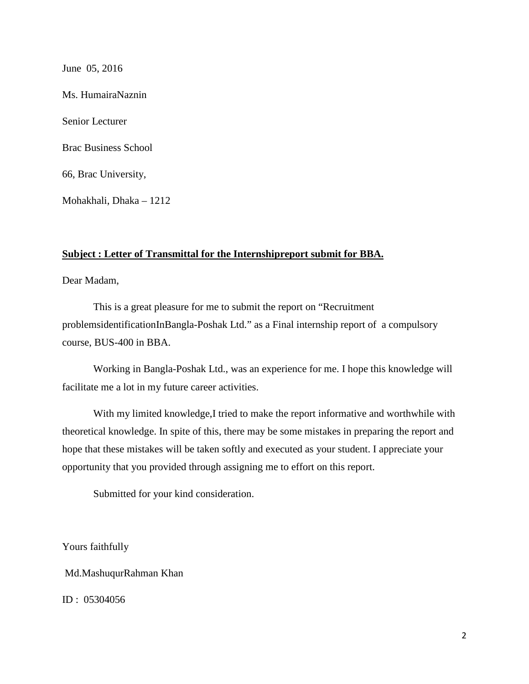June 05, 2016 Ms. HumairaNaznin Senior Lecturer Brac Business School 66, Brac University, Mohakhali, Dhaka – 1212

#### **Subject : Letter of Transmittal for the Internshipreport submit for BBA.**

Dear Madam,

This is a great pleasure for me to submit the report on "Recruitment problemsidentificationInBangla-Poshak Ltd." as a Final internship report of a compulsory course, BUS-400 in BBA.

 Working in Bangla-Poshak Ltd., was an experience for me. I hope this knowledge will facilitate me a lot in my future career activities.

With my limited knowledge,I tried to make the report informative and worthwhile with theoretical knowledge. In spite of this, there may be some mistakes in preparing the report and hope that these mistakes will be taken softly and executed as your student. I appreciate your opportunity that you provided through assigning me to effort on this report.

Submitted for your kind consideration.

Yours faithfully

Md.MashuqurRahman Khan

ID : 05304056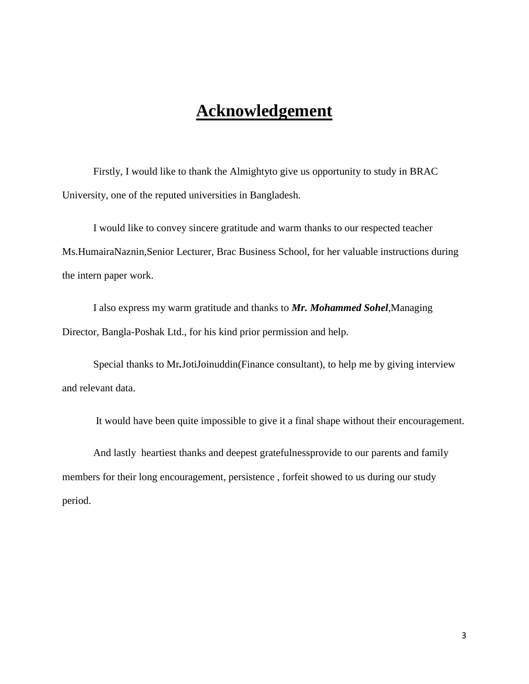## **Acknowledgement**

Firstly, I would like to thank the Almightyto give us opportunity to study in BRAC University, one of the reputed universities in Bangladesh.

 I would like to convey sincere gratitude and warm thanks to our respected teacher Ms.HumairaNaznin,Senior Lecturer, Brac Business School, for her valuable instructions during the intern paper work.

 I also express my warm gratitude and thanks to *Mr. Mohammed Sohel*,Managing Director, Bangla-Poshak Ltd., for his kind prior permission and help.

 Special thanks to Mr*.*JotiJoinuddin(Finance consultant), to help me by giving interview and relevant data.

It would have been quite impossible to give it a final shape without their encouragement.

 And lastly heartiest thanks and deepest gratefulnessprovide to our parents and family members for their long encouragement, persistence , forfeit showed to us during our study period.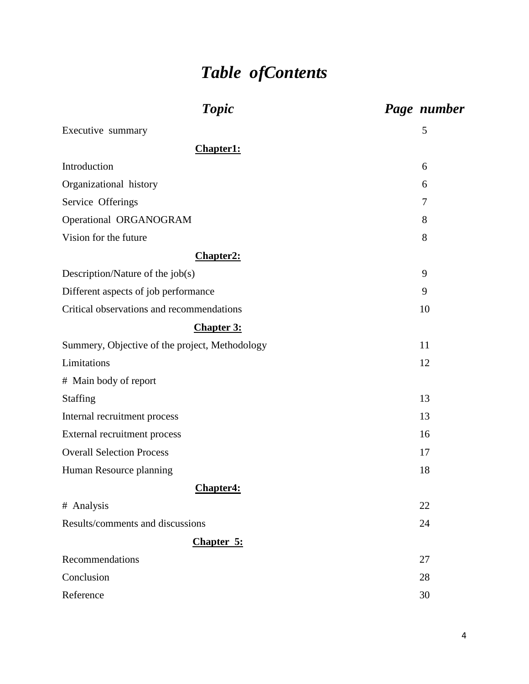# *Table ofContents*

| <b>Topic</b>                                   | Page number |
|------------------------------------------------|-------------|
| Executive summary                              | 5           |
| Chapter1:                                      |             |
| Introduction                                   | 6           |
| Organizational history                         | 6           |
| Service Offerings                              | 7           |
| Operational ORGANOGRAM                         | 8           |
| Vision for the future                          | 8           |
| <b>Chapter2:</b>                               |             |
| Description/Nature of the job(s)               | 9           |
| Different aspects of job performance           | 9           |
| Critical observations and recommendations      | 10          |
| <b>Chapter 3:</b>                              |             |
| Summery, Objective of the project, Methodology | 11          |
| Limitations                                    | 12          |
| # Main body of report                          |             |
| <b>Staffing</b>                                | 13          |
| Internal recruitment process                   | 13          |
| External recruitment process                   | 16          |
| <b>Overall Selection Process</b>               | 17          |
| Human Resource planning                        | 18          |
| Chapter4:                                      |             |
| # Analysis                                     | 22          |
| Results/comments and discussions               | 24          |
| Chapter 5:                                     |             |
| Recommendations                                | 27          |
| Conclusion                                     | 28          |
| Reference                                      | 30          |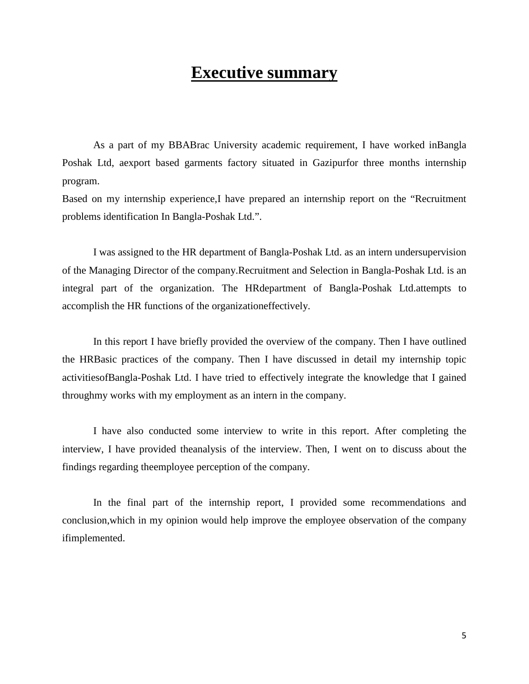## **Executive summary**

As a part of my BBABrac University academic requirement, I have worked inBangla Poshak Ltd, aexport based garments factory situated in Gazipurfor three months internship program.

Based on my internship experience,I have prepared an internship report on the "Recruitment problems identification In Bangla-Poshak Ltd.".

 I was assigned to the HR department of Bangla-Poshak Ltd. as an intern undersupervision of the Managing Director of the company.Recruitment and Selection in Bangla-Poshak Ltd. is an integral part of the organization. The HRdepartment of Bangla-Poshak Ltd.attempts to accomplish the HR functions of the organizationeffectively.

In this report I have briefly provided the overview of the company. Then I have outlined the HRBasic practices of the company. Then I have discussed in detail my internship topic activitiesofBangla-Poshak Ltd. I have tried to effectively integrate the knowledge that I gained throughmy works with my employment as an intern in the company.

I have also conducted some interview to write in this report. After completing the interview, I have provided theanalysis of the interview. Then, I went on to discuss about the findings regarding theemployee perception of the company.

In the final part of the internship report, I provided some recommendations and conclusion,which in my opinion would help improve the employee observation of the company ifimplemented.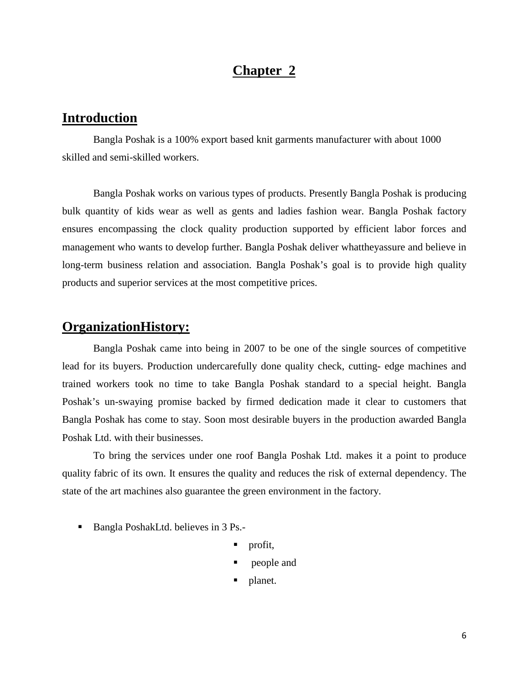### **Chapter 2**

### **Introduction**

 Bangla Poshak is a 100% export based knit garments manufacturer with about 1000 skilled and semi-skilled workers.

Bangla Poshak works on various types of products. Presently Bangla Poshak is producing bulk quantity of kids wear as well as gents and ladies fashion wear. Bangla Poshak factory ensures encompassing the clock quality production supported by efficient labor forces and management who wants to develop further. Bangla Poshak deliver whattheyassure and believe in long-term business relation and association. Bangla Poshak's goal is to provide high quality products and superior services at the most competitive prices.

### **OrganizationHistory:**

Bangla Poshak came into being in 2007 to be one of the single sources of competitive lead for its buyers. Production undercarefully done quality check, cutting- edge machines and trained workers took no time to take Bangla Poshak standard to a special height. Bangla Poshak's un-swaying promise backed by firmed dedication made it clear to customers that Bangla Poshak has come to stay. Soon most desirable buyers in the production awarded Bangla Poshak Ltd. with their businesses.

To bring the services under one roof Bangla Poshak Ltd. makes it a point to produce quality fabric of its own. It ensures the quality and reduces the risk of external dependency. The state of the art machines also guarantee the green environment in the factory.

- Bangla PoshakLtd. believes in 3 Ps.
	- profit,
	- **people** and
	- **planet.**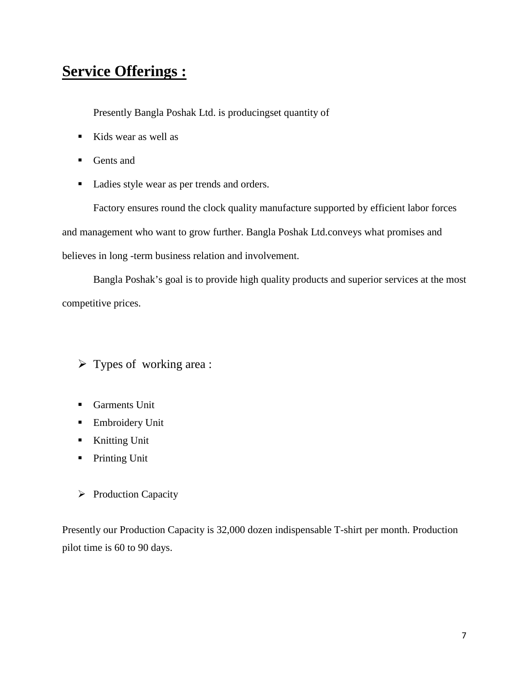## **Service Offerings :**

Presently Bangla Poshak Ltd. is producingset quantity of

- Kids wear as well as
- **Gents** and
- Ladies style wear as per trends and orders.

 Factory ensures round the clock quality manufacture supported by efficient labor forces and management who want to grow further. Bangla Poshak Ltd.conveys what promises and believes in long -term business relation and involvement.

 Bangla Poshak's goal is to provide high quality products and superior services at the most competitive prices.

- $\triangleright$  Types of working area :
- Garments Unit
- **Embroidery Unit**
- **Knitting Unit**
- **Printing Unit**
- $\triangleright$  Production Capacity

Presently our Production Capacity is 32,000 dozen indispensable T-shirt per month. Production pilot time is 60 to 90 days.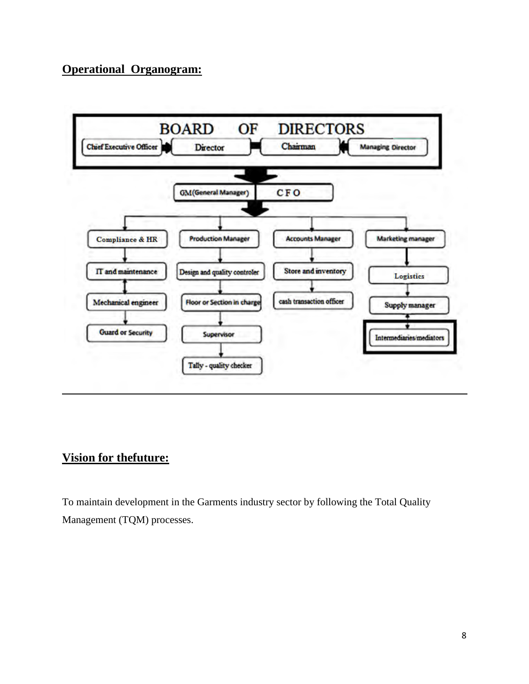### **Operational Organogram:**



### **Vision for thefuture:**

To maintain development in the Garments industry sector by following the Total Quality Management (TQM) processes.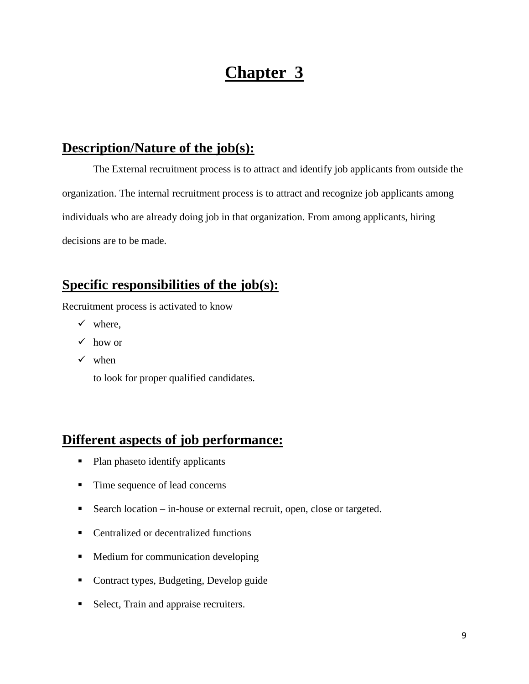## **Chapter 3**

### **Description/Nature of the job(s):**

The External recruitment process is to attract and identify job applicants from outside the organization. The internal recruitment process is to attract and recognize job applicants among individuals who are already doing job in that organization. From among applicants, hiring decisions are to be made.

## **Specific responsibilities of the job(s):**

Recruitment process is activated to know

- $\checkmark$  where,
- $\checkmark$  how or
- $\checkmark$  when

to look for proper qualified candidates.

### **Different aspects of job performance:**

- Plan phaseto identify applicants
- Time sequence of lead concerns
- Search location in-house or external recruit, open, close or targeted.
- Centralized or decentralized functions
- **Medium for communication developing**
- Contract types, Budgeting, Develop guide
- Select, Train and appraise recruiters.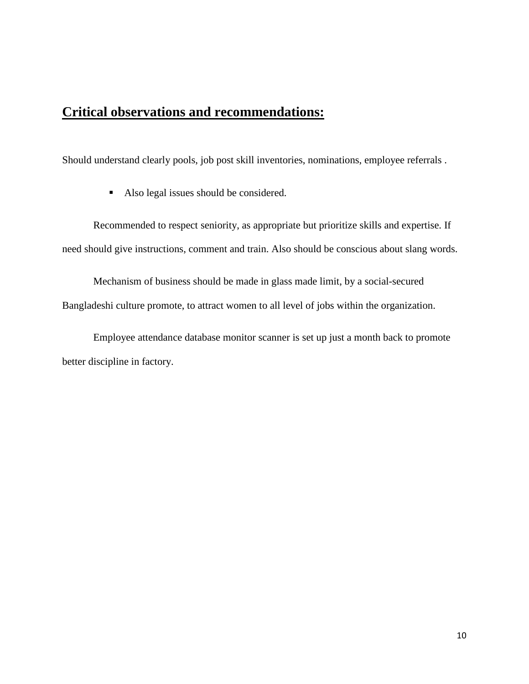### **Critical observations and recommendations:**

Should understand clearly pools, job post skill inventories, nominations, employee referrals .

Also legal issues should be considered.

 Recommended to respect seniority, as appropriate but prioritize skills and expertise. If need should give instructions, comment and train. Also should be conscious about slang words.

 Mechanism of business should be made in glass made limit, by a social-secured Bangladeshi culture promote, to attract women to all level of jobs within the organization.

 Employee attendance database monitor scanner is set up just a month back to promote better discipline in factory.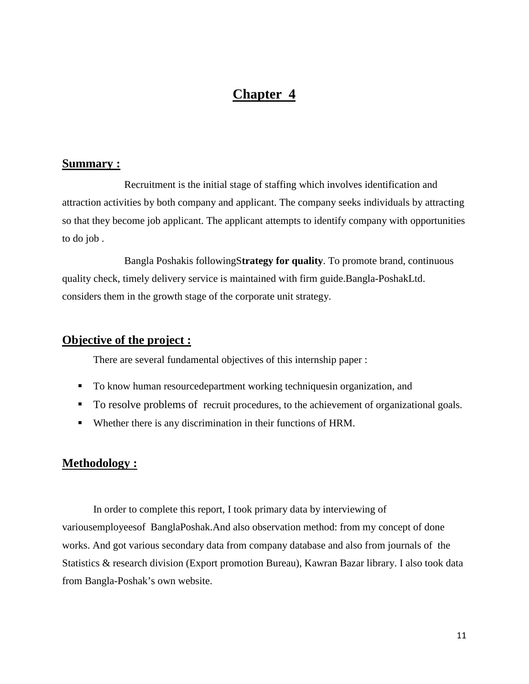### **Chapter 4**

#### **Summary :**

 Recruitment is the initial stage of staffing which involves identification and attraction activities by both company and applicant. The company seeks individuals by attracting so that they become job applicant. The applicant attempts to identify company with opportunities to do job .

 Bangla Poshakis followingS**trategy for quality**. To promote brand, continuous quality check, timely delivery service is maintained with firm guide.Bangla-PoshakLtd. considers them in the growth stage of the corporate unit strategy.

#### **Objective of the project :**

There are several fundamental objectives of this internship paper :

- To know human resourcedepartment working techniquesin organization, and
- To resolve problems of recruit procedures, to the achievement of organizational goals.
- Whether there is any discrimination in their functions of HRM.

#### **Methodology :**

 In order to complete this report, I took primary data by interviewing of variousemployeesof BanglaPoshak.And also observation method: from my concept of done works. And got various secondary data from company database and also from journals of the Statistics & research division (Export promotion Bureau), Kawran Bazar library. I also took data from Bangla-Poshak's own website.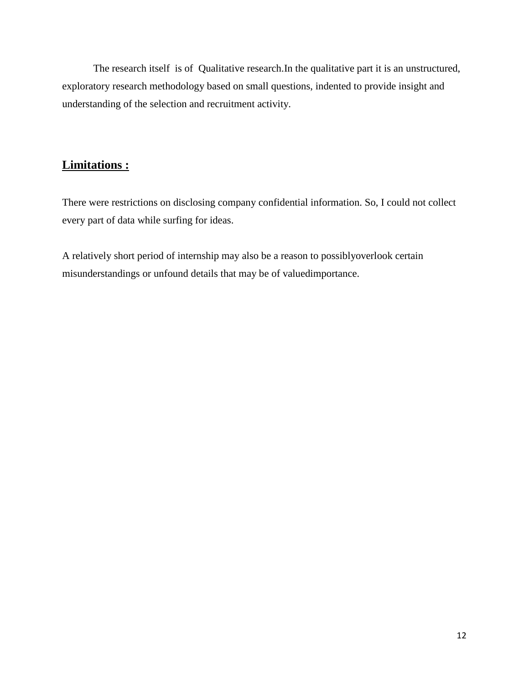The research itself is of Qualitative research.In the qualitative part it is an unstructured, exploratory research methodology based on small questions, indented to provide insight and understanding of the selection and recruitment activity.

### **Limitations :**

There were restrictions on disclosing company confidential information. So, I could not collect every part of data while surfing for ideas.

A relatively short period of internship may also be a reason to possiblyoverlook certain misunderstandings or unfound details that may be of valuedimportance.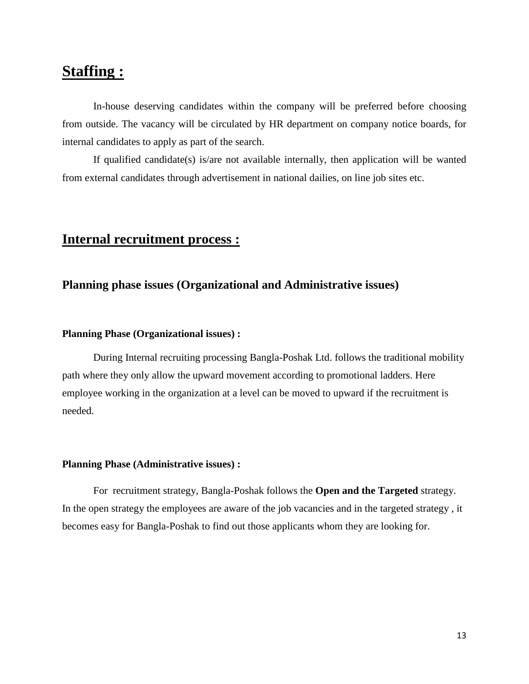## **Staffing :**

In-house deserving candidates within the company will be preferred before choosing from outside. The vacancy will be circulated by HR department on company notice boards, for internal candidates to apply as part of the search.

If qualified candidate(s) is/are not available internally, then application will be wanted from external candidates through advertisement in national dailies, on line job sites etc.

## **Internal recruitment process :**

#### **Planning phase issues (Organizational and Administrative issues)**

#### **Planning Phase (Organizational issues) :**

 During Internal recruiting processing Bangla-Poshak Ltd. follows the traditional mobility path where they only allow the upward movement according to promotional ladders. Here employee working in the organization at a level can be moved to upward if the recruitment is needed.

#### **Planning Phase (Administrative issues) :**

For recruitment strategy, Bangla-Poshak follows the **Open and the Targeted** strategy. In the open strategy the employees are aware of the job vacancies and in the targeted strategy , it becomes easy for Bangla-Poshak to find out those applicants whom they are looking for.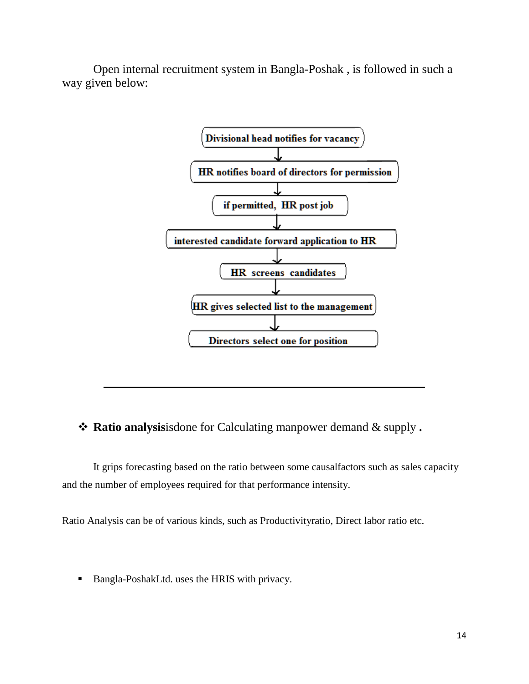Open internal recruitment system in Bangla-Poshak , is followed in such a way given below:



**Ratio analysis**isdone for Calculating manpower demand & supply **.** 

It grips forecasting based on the ratio between some causalfactors such as sales capacity and the number of employees required for that performance intensity.

Ratio Analysis can be of various kinds, such as Productivityratio, Direct labor ratio etc.

■ Bangla-PoshakLtd. uses the HRIS with privacy.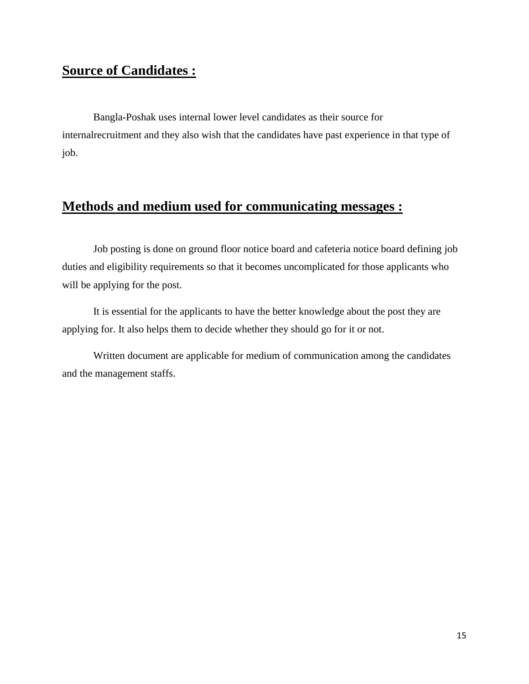## **Source of Candidates :**

 Bangla-Poshak uses internal lower level candidates as their source for internalrecruitment and they also wish that the candidates have past experience in that type of job.

## **Methods and medium used for communicating messages :**

 Job posting is done on ground floor notice board and cafeteria notice board defining job duties and eligibility requirements so that it becomes uncomplicated for those applicants who will be applying for the post.

It is essential for the applicants to have the better knowledge about the post they are applying for. It also helps them to decide whether they should go for it or not.

 Written document are applicable for medium of communication among the candidates and the management staffs.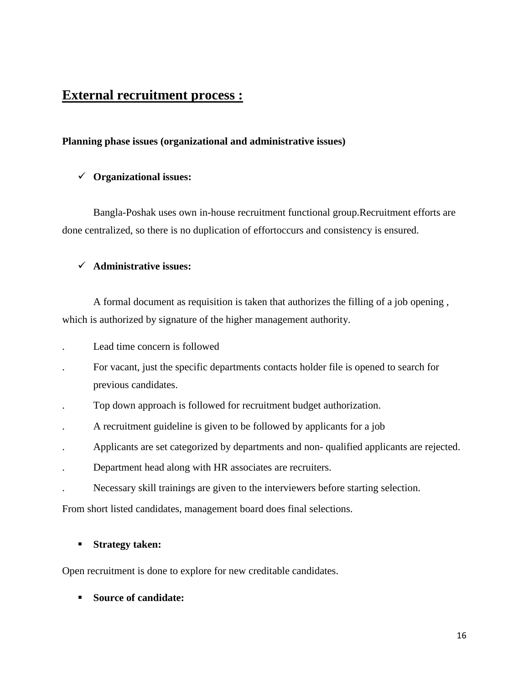### **External recruitment process :**

#### **Planning phase issues (organizational and administrative issues)**

#### **Organizational issues:**

 Bangla-Poshak uses own in-house recruitment functional group.Recruitment efforts are done centralized, so there is no duplication of effortoccurs and consistency is ensured.

#### **Administrative issues:**

 A formal document as requisition is taken that authorizes the filling of a job opening , which is authorized by signature of the higher management authority.

- . Lead time concern is followed
- . For vacant, just the specific departments contacts holder file is opened to search for previous candidates.
- . Top down approach is followed for recruitment budget authorization.
- . A recruitment guideline is given to be followed by applicants for a job
- . Applicants are set categorized by departments and non- qualified applicants are rejected.
- . Department head along with HR associates are recruiters.
- . Necessary skill trainings are given to the interviewers before starting selection.

From short listed candidates, management board does final selections.

#### **Strategy taken:**

Open recruitment is done to explore for new creditable candidates.

**Source of candidate:**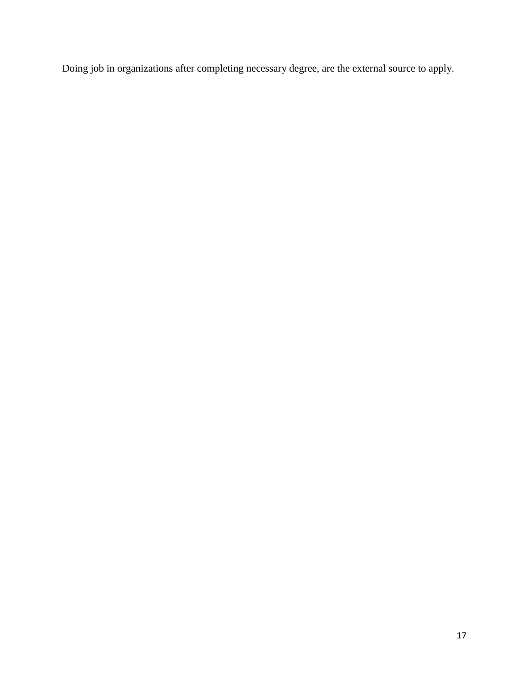Doing job in organizations after completing necessary degree, are the external source to apply.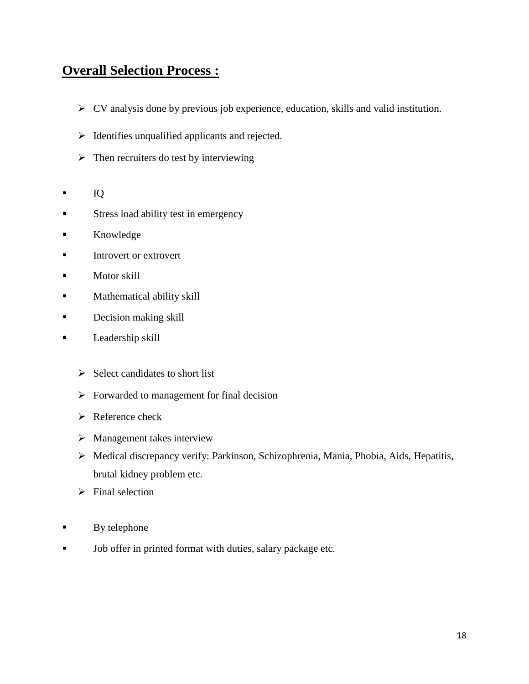## **Overall Selection Process :**

- CV analysis done by previous job experience, education, skills and valid institution.
- $\triangleright$  Identifies unqualified applicants and rejected.
- $\triangleright$  Then recruiters do test by interviewing
- $IQ$
- **Stress load ability test in emergency**
- **Knowledge**
- Introvert or extrovert
- $\blacksquare$  Motor skill
- **Mathematical ability skill**
- **Decision making skill**
- **Leadership skill** 
	- $\triangleright$  Select candidates to short list
	- $\triangleright$  Forwarded to management for final decision
	- $\triangleright$  Reference check
	- $\triangleright$  Management takes interview
	- Medical discrepancy verify: Parkinson, Schizophrenia, Mania, Phobia, Aids, Hepatitis, brutal kidney problem etc.
	- $\triangleright$  Final selection
- $\blacksquare$  By telephone
- Iob offer in printed format with duties, salary package etc.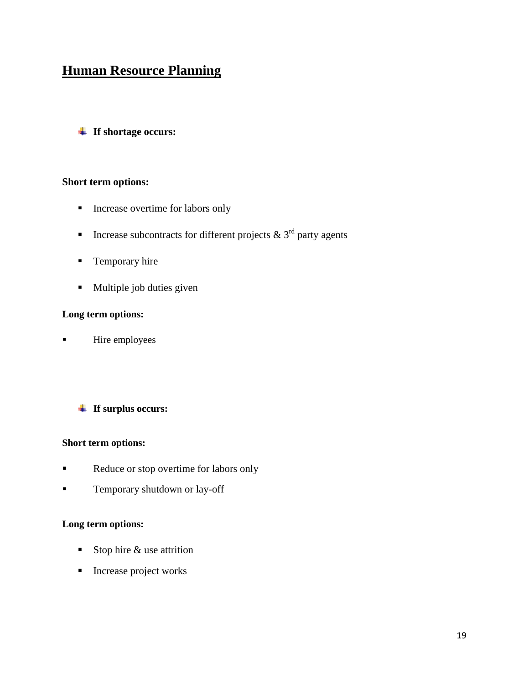## **Human Resource Planning**

**If shortage occurs:**

#### **Short term options:**

- **Increase overtime for labors only**
- Increase subcontracts for different projects  $\& 3<sup>rd</sup>$  party agents
- **Temporary hire**
- **Multiple job duties given**

#### **Long term options:**

**Hire employees** 

#### **If surplus occurs:**

#### **Short term options:**

- Reduce or stop overtime for labors only
- **Temporary shutdown or lay-off**

#### **Long term options:**

- Stop hire  $\&$  use attrition
- **Increase project works**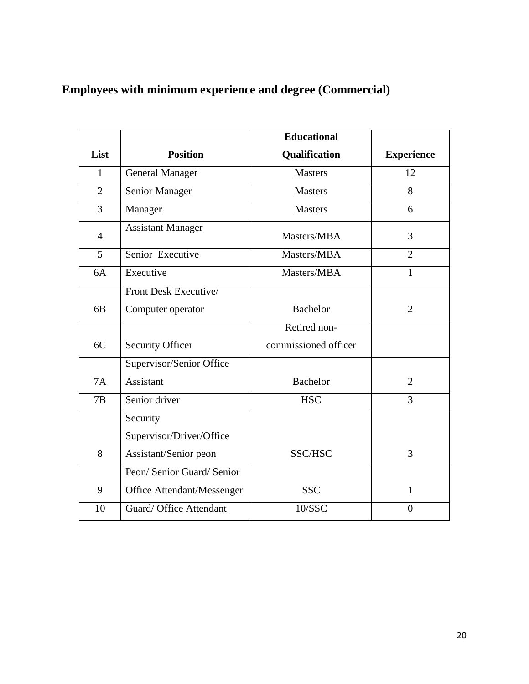## **Employees with minimum experience and degree (Commercial)**

|                |                            | <b>Educational</b>   |                   |
|----------------|----------------------------|----------------------|-------------------|
| List           | <b>Position</b>            | Qualification        | <b>Experience</b> |
| $\mathbf{1}$   | <b>General Manager</b>     | <b>Masters</b>       | 12                |
| $\overline{2}$ | Senior Manager             | <b>Masters</b>       | 8                 |
| 3              | Manager                    | <b>Masters</b>       | 6                 |
| $\overline{4}$ | <b>Assistant Manager</b>   | Masters/MBA          | 3                 |
| 5              | Senior Executive           | Masters/MBA          | $\overline{2}$    |
| 6A             | Executive                  | Masters/MBA          | $\mathbf{1}$      |
|                | Front Desk Executive/      |                      |                   |
| 6 <sub>B</sub> | Computer operator          | <b>Bachelor</b>      | $\overline{2}$    |
|                |                            | Retired non-         |                   |
| 6C             | <b>Security Officer</b>    | commissioned officer |                   |
|                | Supervisor/Senior Office   |                      |                   |
| <b>7A</b>      | <b>Assistant</b>           | <b>Bachelor</b>      | $\overline{2}$    |
| 7B             | Senior driver              | <b>HSC</b>           | $\overline{3}$    |
|                | Security                   |                      |                   |
|                | Supervisor/Driver/Office   |                      |                   |
| 8              | Assistant/Senior peon      | SSC/HSC              | 3                 |
|                | Peon/ Senior Guard/ Senior |                      |                   |
| 9              | Office Attendant/Messenger | <b>SSC</b>           | $\mathbf{1}$      |
| 10             | Guard/ Office Attendant    | 10/SSC               | $\theta$          |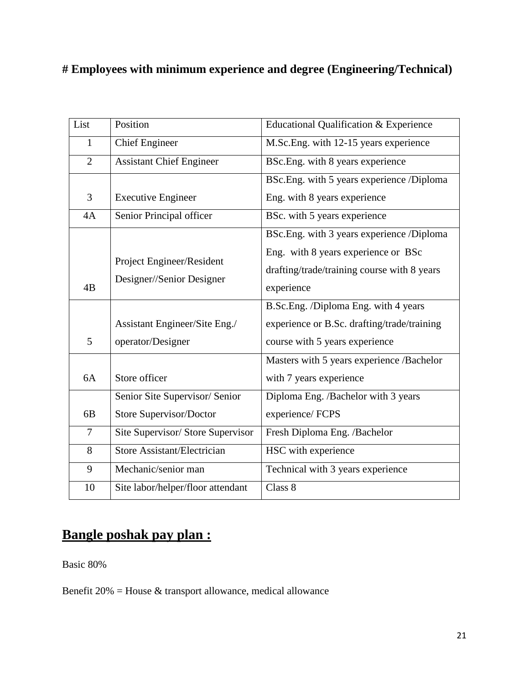## **# Employees with minimum experience and degree (Engineering/Technical)**

| List           | Position                                               | <b>Educational Qualification &amp; Experience</b>                                                |
|----------------|--------------------------------------------------------|--------------------------------------------------------------------------------------------------|
| 1              | <b>Chief Engineer</b>                                  | M.Sc.Eng. with 12-15 years experience                                                            |
| $\overline{2}$ | <b>Assistant Chief Engineer</b>                        | BSc.Eng. with 8 years experience                                                                 |
|                |                                                        | BSc.Eng. with 5 years experience /Diploma                                                        |
| 3              | <b>Executive Engineer</b>                              | Eng. with 8 years experience                                                                     |
| 4A             | Senior Principal officer                               | BSc. with 5 years experience                                                                     |
|                |                                                        | BSc.Eng. with 3 years experience /Diploma                                                        |
| 4B             | Project Engineer/Resident<br>Designer//Senior Designer | Eng. with 8 years experience or BSc<br>drafting/trade/training course with 8 years<br>experience |
|                |                                                        | B.Sc.Eng. /Diploma Eng. with 4 years                                                             |
|                | Assistant Engineer/Site Eng./                          | experience or B.Sc. drafting/trade/training                                                      |
| 5              | operator/Designer                                      | course with 5 years experience                                                                   |
|                |                                                        | Masters with 5 years experience /Bachelor                                                        |
| 6A             | Store officer                                          | with 7 years experience                                                                          |
|                | Senior Site Supervisor/ Senior                         | Diploma Eng. /Bachelor with 3 years                                                              |
| 6 <sub>B</sub> | Store Supervisor/Doctor                                | experience/FCPS                                                                                  |
| $\overline{7}$ | Site Supervisor/ Store Supervisor                      | Fresh Diploma Eng. /Bachelor                                                                     |
| 8              | <b>Store Assistant/Electrician</b>                     | HSC with experience                                                                              |
| 9              | Mechanic/senior man                                    | Technical with 3 years experience                                                                |
| 10             | Site labor/helper/floor attendant                      | Class 8                                                                                          |

## **Bangle poshak pay plan :**

Basic 80%

Benefit  $20\%$  = House & transport allowance, medical allowance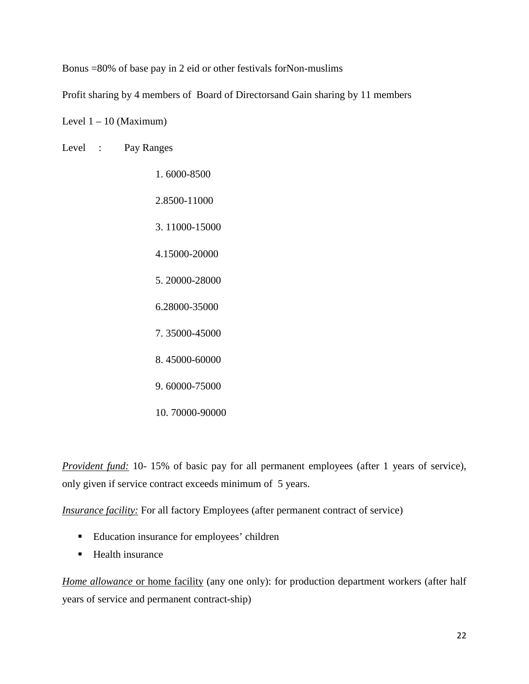Bonus =80% of base pay in 2 eid or other festivals forNon-muslims

Profit sharing by 4 members of Board of Directorsand Gain sharing by 11 members

Level  $1 - 10$  (Maximum)

Level : Pay Ranges

 1. 6000-8500 2.8500-11000 3. 11000-15000 4.15000-20000 5. 20000-28000 6.28000-35000 7. 35000-45000 8. 45000-60000 9. 60000-75000 10. 70000-90000

*Provident fund:* 10- 15% of basic pay for all permanent employees (after 1 years of service), only given if service contract exceeds minimum of 5 years.

*Insurance facility:* For all factory Employees (after permanent contract of service)

- **Education insurance for employees' children**
- Health insurance

*Home allowance* or home facility (any one only): for production department workers (after half years of service and permanent contract-ship)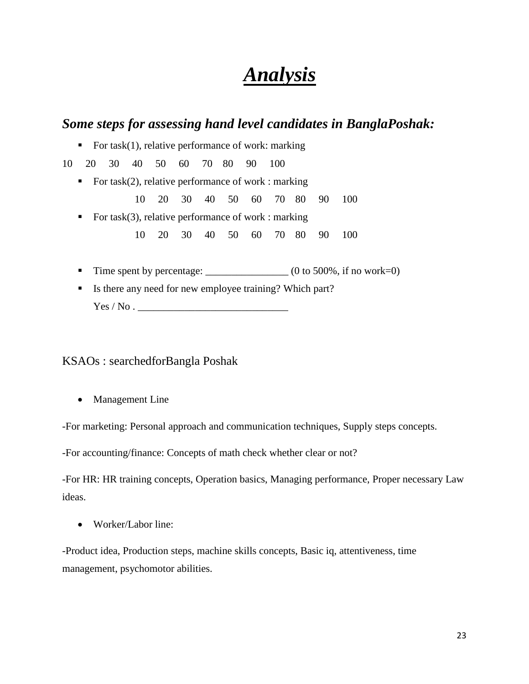# *Analysis*

### *Some steps for assessing hand level candidates in BanglaPoshak:*

For task(1), relative performance of work: marking

10 20 30 40 50 60 70 80 90 100

For task(2), relative performance of work : marking

10 20 30 40 50 60 70 80 90 100

- For task(3), relative performance of work : marking
- 10 20 30 40 50 60 70 80 90 100
	- Time spent by percentage:  $(0 \text{ to } 500\%$ , if no work=0)
	- Is there any need for new employee training? Which part? Yes / No . \_\_\_\_\_\_\_\_\_\_\_\_\_\_\_\_\_\_\_\_\_\_\_\_\_\_\_\_\_

#### KSAOs : searchedforBangla Poshak

• Management Line

-For marketing: Personal approach and communication techniques, Supply steps concepts.

-For accounting/finance: Concepts of math check whether clear or not?

-For HR: HR training concepts, Operation basics, Managing performance, Proper necessary Law ideas.

• Worker/Labor line:

-Product idea, Production steps, machine skills concepts, Basic iq, attentiveness, time management, psychomotor abilities.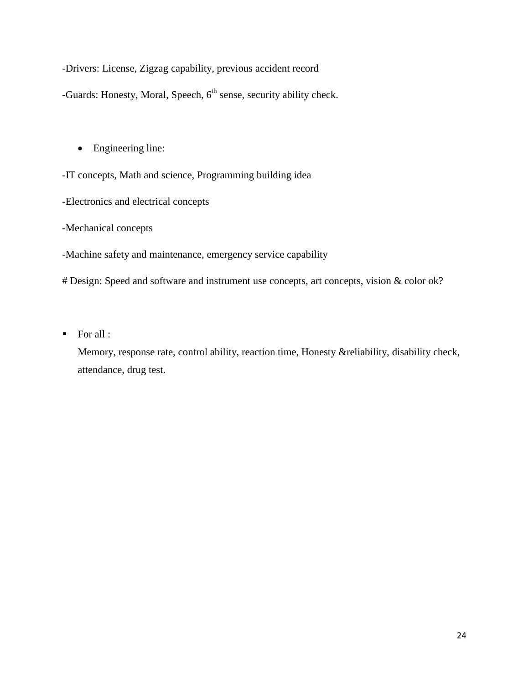-Drivers: License, Zigzag capability, previous accident record

-Guards: Honesty, Moral, Speech,  $6<sup>th</sup>$  sense, security ability check.

• Engineering line:

-IT concepts, Math and science, Programming building idea

-Electronics and electrical concepts

-Mechanical concepts

-Machine safety and maintenance, emergency service capability

# Design: Speed and software and instrument use concepts, art concepts, vision & color ok?

 $\blacksquare$  For all :

Memory, response rate, control ability, reaction time, Honesty &reliability, disability check, attendance, drug test.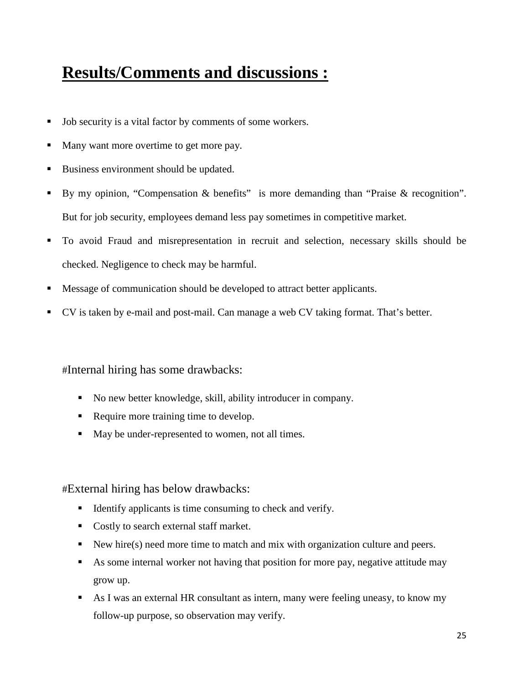# **Results/Comments and discussions :**

- Job security is a vital factor by comments of some workers.
- Many want more overtime to get more pay.
- Business environment should be updated.
- By my opinion, "Compensation & benefits" is more demanding than "Praise & recognition". But for job security, employees demand less pay sometimes in competitive market.
- To avoid Fraud and misrepresentation in recruit and selection, necessary skills should be checked. Negligence to check may be harmful.
- Message of communication should be developed to attract better applicants.
- CV is taken by e-mail and post-mail. Can manage a web CV taking format. That's better.

#Internal hiring has some drawbacks:

- No new better knowledge, skill, ability introducer in company.
- Require more training time to develop.
- May be under-represented to women, not all times.

#External hiring has below drawbacks:

- Identify applicants is time consuming to check and verify.
- Costly to search external staff market.
- New hire(s) need more time to match and mix with organization culture and peers.
- As some internal worker not having that position for more pay, negative attitude may grow up.
- As I was an external HR consultant as intern, many were feeling uneasy, to know my follow-up purpose, so observation may verify.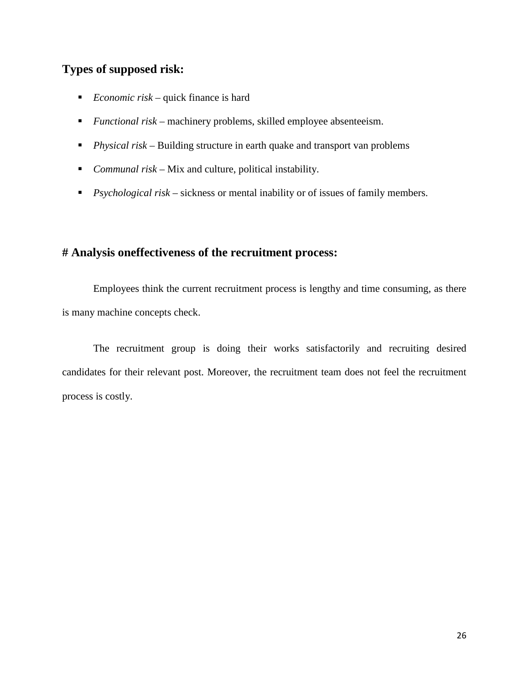## **Types of supposed risk:**

- *Economic risk* quick finance is hard
- *Functional risk* machinery problems, skilled employee absenteeism.
- *Physical risk* Building structure in earth quake and transport van problems
- *Communal risk* Mix and culture, political instability.
- *Psychological risk* sickness or mental inability or of issues of family members.

#### **# Analysis oneffectiveness of the recruitment process:**

Employees think the current recruitment process is lengthy and time consuming, as there is many machine concepts check.

The recruitment group is doing their works satisfactorily and recruiting desired candidates for their relevant post. Moreover, the recruitment team does not feel the recruitment process is costly.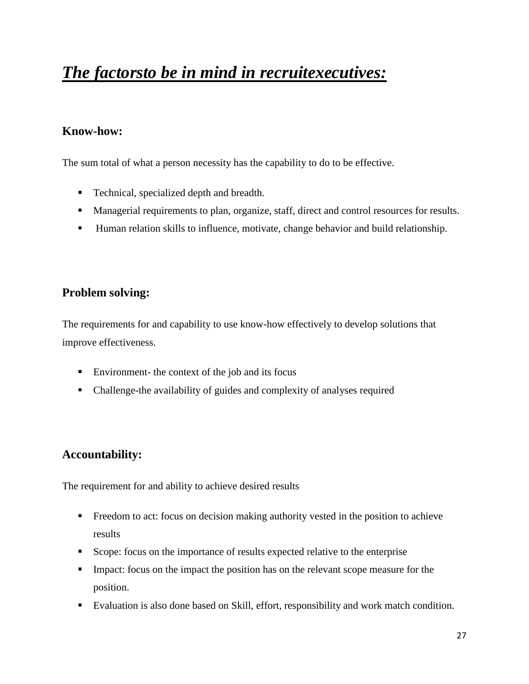# *The factorsto be in mind in recruitexecutives:*

### **Know-how:**

The sum total of what a person necessity has the capability to do to be effective.

- Technical, specialized depth and breadth.
- Managerial requirements to plan, organize, staff, direct and control resources for results.
- Human relation skills to influence, motivate, change behavior and build relationship.

### **Problem solving:**

The requirements for and capability to use know-how effectively to develop solutions that improve effectiveness.

- Environment- the context of the job and its focus
- Challenge-the availability of guides and complexity of analyses required

### **Accountability:**

The requirement for and ability to achieve desired results

- Freedom to act: focus on decision making authority vested in the position to achieve results
- Scope: focus on the importance of results expected relative to the enterprise
- Impact: focus on the impact the position has on the relevant scope measure for the position.
- Evaluation is also done based on Skill, effort, responsibility and work match condition.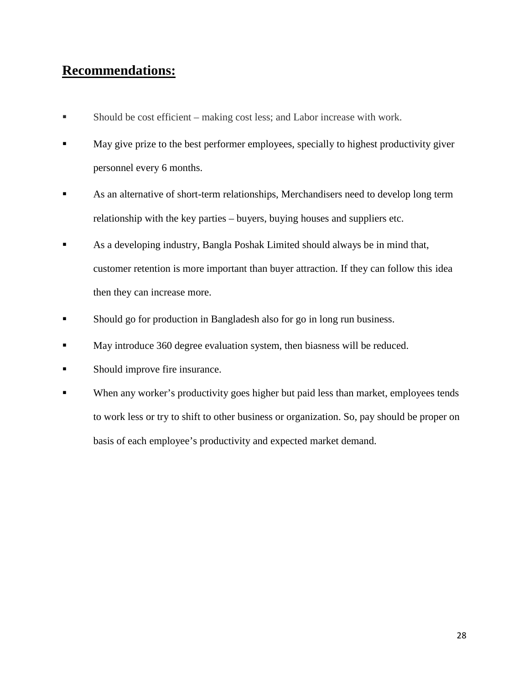## **Recommendations:**

- Should be cost efficient making cost less; and Labor increase with work.
- May give prize to the best performer employees, specially to highest productivity giver personnel every 6 months.
- As an alternative of short-term relationships, Merchandisers need to develop long term relationship with the key parties – buyers, buying houses and suppliers etc.
- As a developing industry, Bangla Poshak Limited should always be in mind that, customer retention is more important than buyer attraction. If they can follow this idea then they can increase more.
- Should go for production in Bangladesh also for go in long run business.
- May introduce 360 degree evaluation system, then biasness will be reduced.
- Should improve fire insurance.
- When any worker's productivity goes higher but paid less than market, employees tends to work less or try to shift to other business or organization. So, pay should be proper on basis of each employee's productivity and expected market demand.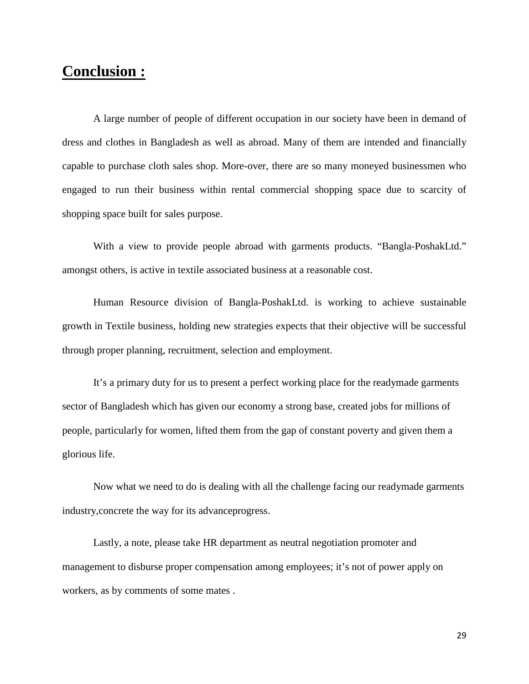## **Conclusion :**

A large number of people of different occupation in our society have been in demand of dress and clothes in Bangladesh as well as abroad. Many of them are intended and financially capable to purchase cloth sales shop. More-over, there are so many moneyed businessmen who engaged to run their business within rental commercial shopping space due to scarcity of shopping space built for sales purpose.

With a view to provide people abroad with garments products. "Bangla-PoshakLtd." amongst others, is active in textile associated business at a reasonable cost.

Human Resource division of Bangla-PoshakLtd. is working to achieve sustainable growth in Textile business, holding new strategies expects that their objective will be successful through proper planning, recruitment, selection and employment.

 It's a primary duty for us to present a perfect working place for the readymade garments sector of Bangladesh which has given our economy a strong base, created jobs for millions of people, particularly for women, lifted them from the gap of constant poverty and given them a glorious life.

Now what we need to do is dealing with all the challenge facing our readymade garments industry,concrete the way for its advanceprogress.

Lastly, a note, please take HR department as neutral negotiation promoter and management to disburse proper compensation among employees; it's not of power apply on workers, as by comments of some mates .

29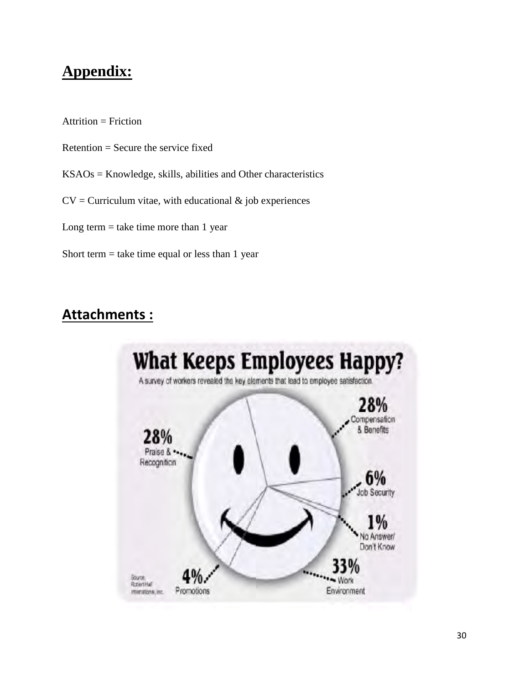## **Appendix:**

 $Attention = Friction$ 

- Retention = Secure the service fixed
- KSAOs = Knowledge, skills, abilities and Other characteristics
- $CV = Curricular$  vitae, with educational  $\&$  job experiences
- Long term  $=$  take time more than 1 year
- Short term  $=$  take time equal or less than 1 year

## **Attachments :**